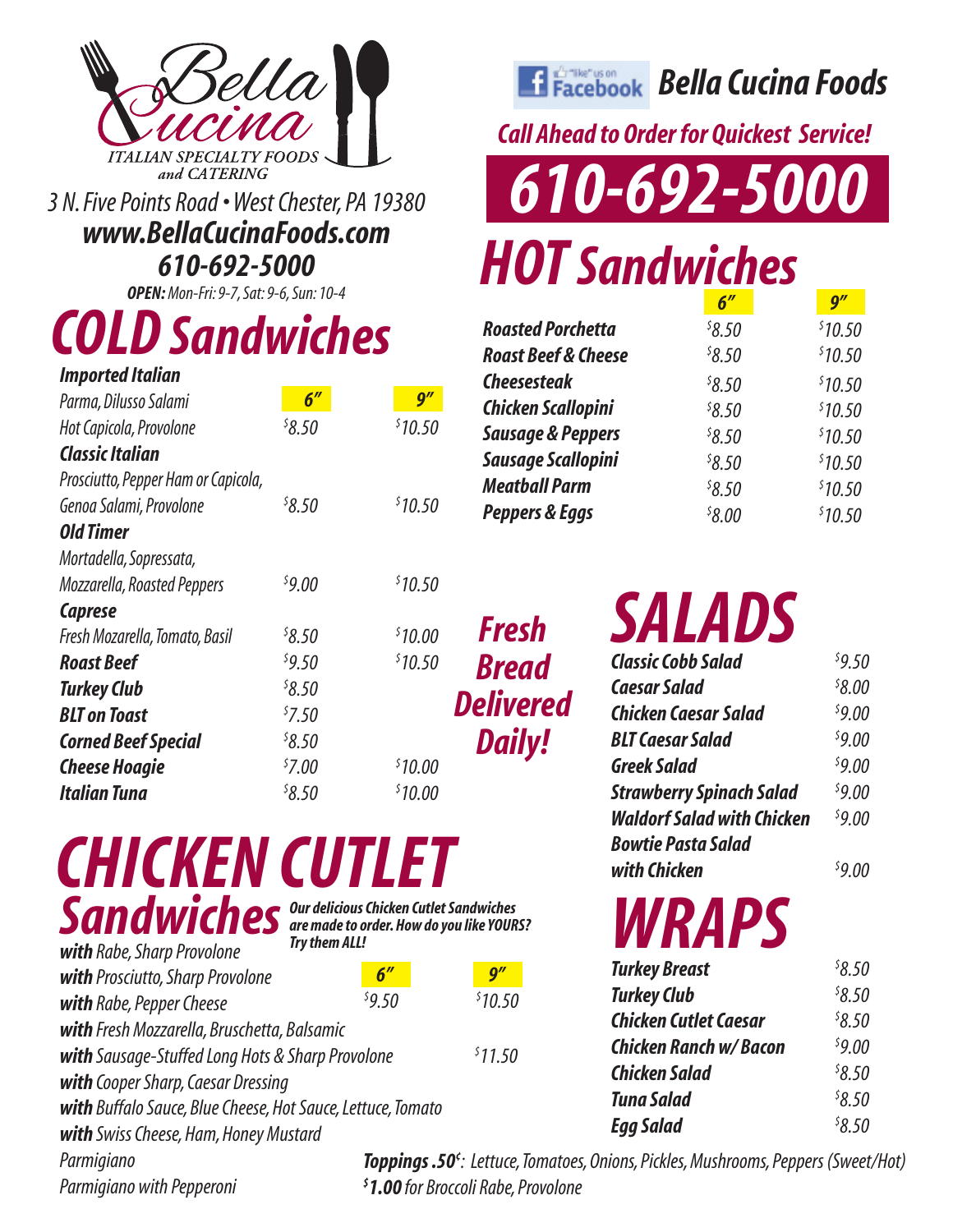

*www.BellaCucinaFoods.com 610-692-5000*

*OPEN: Mon-Fri: 9-7, Sat: 9-6, Sun: 10-4*

## *COLD Sandwiches \$*

| <b>Imported Italian</b>             |                    |         | <b>Cheesesteak</b>  |
|-------------------------------------|--------------------|---------|---------------------|
| Parma, Dilusso Salami               | $6^{\prime\prime}$ | g''     | Chicken Scall       |
| Hot Capicola, Provolone             | 58.50              | \$10.50 | Sausage & Pe        |
| <b>Classic Italian</b>              |                    |         | <b>Sausage Scal</b> |
| Prosciutto, Pepper Ham or Capicola, |                    |         | <b>Meatball Par</b> |
| Genoa Salami, Provolone             | 58.50              | \$10.50 | Peppers & Eq        |
| <b>Old Timer</b>                    |                    |         |                     |
| Mortadella, Sopressata,             |                    |         |                     |
| Mozzarella, Roasted Peppers         | 59.00              | \$10.50 |                     |
| <b>Caprese</b>                      |                    |         |                     |
| Fresh Mozarella, Tomato, Basil      | 8.50               | \$10.00 | Fresh               |
| <b>Roast Beef</b>                   | 59.50              | \$10.50 | <b>Bread</b>        |
| <b>Turkey Club</b>                  | \$8.50             |         |                     |
| <b>BLT</b> on Toast                 | 57.50              |         | <b>Delivered</b>    |
| <b>Corned Beef Special</b>          | 8.50               |         | <b>Daily!</b>       |
| <b>Cheese Hoagie</b>                | 57.00              | \$10.00 |                     |
| <b>Italian Tuna</b>                 | 58.50              | \$10.00 |                     |
|                                     |                    |         |                     |

## *CHICKEN CUTLET* Sandwiches<br>*Sandwiches*<br>*Try them ALL!*

| with Rabe, Sharp Provolone                                  | <b>Try them ALL!</b> |                                        |
|-------------------------------------------------------------|----------------------|----------------------------------------|
| with Prosciutto, Sharp Provolone                            | 6''                  | $\bm{q''}$                             |
| with Rabe, Pepper Cheese                                    | 59.50                | \$10.50                                |
| with Fresh Mozzarella, Bruschetta, Balsamic                 |                      |                                        |
| with Sausage-Stuffed Long Hots & Sharp Provolone            |                      | \$11.50                                |
| with Cooper Sharp, Caesar Dressing                          |                      |                                        |
| with Buffalo Sauce, Blue Cheese, Hot Sauce, Lettuce, Tomato |                      |                                        |
| with Swiss Cheese, Ham, Honey Mustard                       |                      |                                        |
| Parmigiano                                                  |                      | Toppings .50 <sup>c</sup> : Lettuce, 1 |
|                                                             |                      |                                        |

*Parmigiano with Pepperoni*

*Bella Cucina Foods*

*Call Ahead to Order for Quickest Service!*

*ITALIAN SPECIALTY FOODS*<br>3 N. Five Points Road • West Chester, PA 19380 **610-692-5000** 

## *HOT Sandwiches*

|                                | 6''    | $\mathbf{Q}^{\prime\prime}$ |
|--------------------------------|--------|-----------------------------|
| <b>Roasted Porchetta</b>       | 58.50  | \$10.50                     |
| <b>Roast Beef &amp; Cheese</b> | 58.50  | \$10.50                     |
| <b>Cheesesteak</b>             | 58.50  | \$10.50                     |
| <b>Chicken Scallopini</b>      | \$8.50 | \$10.50                     |
| <b>Sausage &amp; Peppers</b>   | 58.50  | \$10.50                     |
| Sausage Scallopini             | 58.50  | \$10.50                     |
| <b>Meatball Parm</b>           | 58.50  | \$10.50                     |
| <b>Peppers &amp; Eggs</b>      | 58.00  | \$10.50                     |

*SALADS*

| <b>Classic Cobb Salad</b>         | 59.50              |
|-----------------------------------|--------------------|
| <b>Caesar Salad</b>               | <sup>\$</sup> 8.00 |
| Chicken Caesar Salad              | 59.00              |
| <b>BLT Caesar Salad</b>           | 59.00              |
| <b>Greek Salad</b>                | 59.00              |
| <b>Strawberry Spinach Salad</b>   | 59.00              |
| <b>Waldorf Salad with Chicken</b> | 59.00              |
| <b>Bowtie Pasta Salad</b>         |                    |
| with Chicken                      | 59.0               |

*WRAPS*

| <b>Turkey Breast</b>          | 8.50   |
|-------------------------------|--------|
| <b>Turkey Club</b>            | 58.50  |
| <b>Chicken Cutlet Caesar</b>  | 58.50  |
| <b>Chicken Ranch w/ Bacon</b> | 59.00  |
| <b>Chicken Salad</b>          | \$8.50 |
| <b>Tuna Salad</b>             | 58.50  |
| <b>Egg Salad</b>              | 58.50  |

*: Lettuce, Tomatoes, Onions, Pickles, Mushrooms, Peppers (Sweet/Hot) \$ 1.00 for Broccoli Rabe, Provolone*